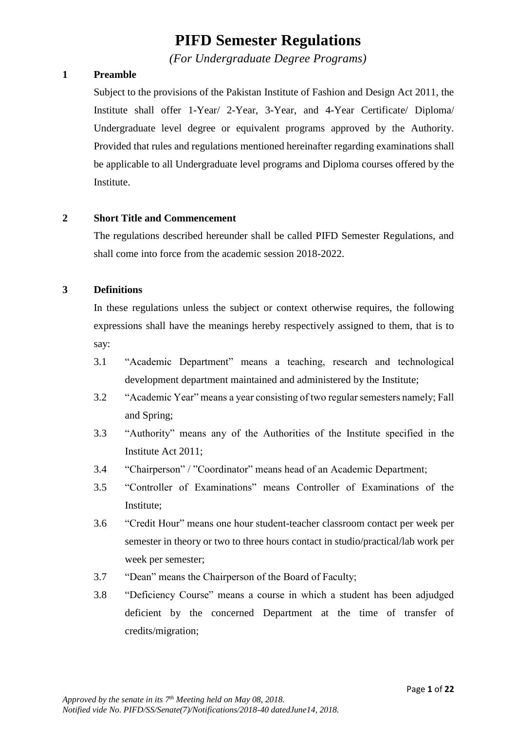# **PIFD Semester Regulations**

*(For Undergraduate Degree Programs)*

## **1 Preamble**

Subject to the provisions of the Pakistan Institute of Fashion and Design Act 2011, the Institute shall offer 1-Year/ 2-Year, 3-Year, and 4-Year Certificate/ Diploma/ Undergraduate level degree or equivalent programs approved by the Authority. Provided that rules and regulations mentioned hereinafter regarding examinations shall be applicable to all Undergraduate level programs and Diploma courses offered by the Institute.

#### **2 Short Title and Commencement**

The regulations described hereunder shall be called PIFD Semester Regulations, and shall come into force from the academic session 2018-2022.

## **3 Definitions**

In these regulations unless the subject or context otherwise requires, the following expressions shall have the meanings hereby respectively assigned to them, that is to say:

- 3.1 "Academic Department" means a teaching, research and technological development department maintained and administered by the Institute;
- 3.2 "Academic Year" means a year consisting of two regular semesters namely; Fall and Spring;
- 3.3 "Authority" means any of the Authorities of the Institute specified in the Institute Act 2011;
- 3.4 "Chairperson" / "Coordinator" means head of an Academic Department;
- 3.5 "Controller of Examinations" means Controller of Examinations of the Institute;
- 3.6 "Credit Hour" means one hour student-teacher classroom contact per week per semester in theory or two to three hours contact in studio/practical/lab work per week per semester;
- 3.7 "Dean" means the Chairperson of the Board of Faculty;
- 3.8 "Deficiency Course" means a course in which a student has been adjudged deficient by the concerned Department at the time of transfer of credits/migration;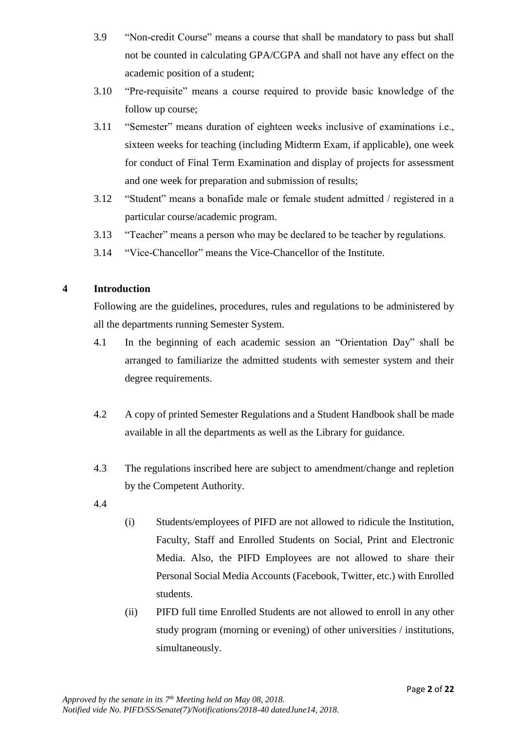- 3.9 "Non-credit Course" means a course that shall be mandatory to pass but shall not be counted in calculating GPA/CGPA and shall not have any effect on the academic position of a student;
- 3.10 "Pre-requisite" means a course required to provide basic knowledge of the follow up course;
- 3.11 "Semester" means duration of eighteen weeks inclusive of examinations i.e., sixteen weeks for teaching (including Midterm Exam, if applicable), one week for conduct of Final Term Examination and display of projects for assessment and one week for preparation and submission of results;
- 3.12 "Student" means a bonafide male or female student admitted / registered in a particular course/academic program.
- 3.13 "Teacher" means a person who may be declared to be teacher by regulations.
- 3.14 "Vice-Chancellor" means the Vice-Chancellor of the Institute.

## **4 Introduction**

Following are the guidelines, procedures, rules and regulations to be administered by all the departments running Semester System.

- 4.1 In the beginning of each academic session an "Orientation Day" shall be arranged to familiarize the admitted students with semester system and their degree requirements.
- 4.2 A copy of printed Semester Regulations and a Student Handbook shall be made available in all the departments as well as the Library for guidance.
- 4.3 The regulations inscribed here are subject to amendment/change and repletion by the Competent Authority.
- 4.4
- (i) Students/employees of PIFD are not allowed to ridicule the Institution, Faculty, Staff and Enrolled Students on Social, Print and Electronic Media. Also, the PIFD Employees are not allowed to share their Personal Social Media Accounts (Facebook, Twitter, etc.) with Enrolled students.
- (ii) PIFD full time Enrolled Students are not allowed to enroll in any other study program (morning or evening) of other universities / institutions, simultaneously.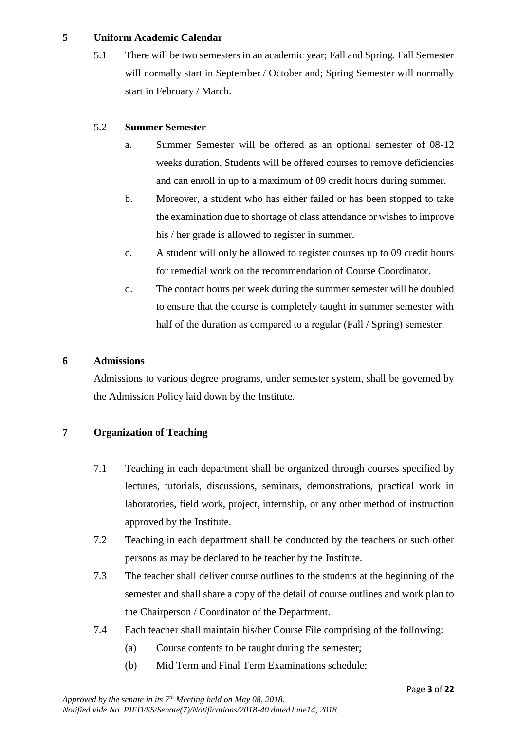#### **5 Uniform Academic Calendar**

5.1 There will be two semesters in an academic year; Fall and Spring. Fall Semester will normally start in September / October and; Spring Semester will normally start in February / March.

## 5.2 **Summer Semester**

- a. Summer Semester will be offered as an optional semester of 08-12 weeks duration. Students will be offered courses to remove deficiencies and can enroll in up to a maximum of 09 credit hours during summer.
- b. Moreover, a student who has either failed or has been stopped to take the examination due to shortage of class attendance or wishes to improve his / her grade is allowed to register in summer.
- c. A student will only be allowed to register courses up to 09 credit hours for remedial work on the recommendation of Course Coordinator.
- d. The contact hours per week during the summer semester will be doubled to ensure that the course is completely taught in summer semester with half of the duration as compared to a regular (Fall / Spring) semester.

## **6 Admissions**

Admissions to various degree programs, under semester system, shall be governed by the Admission Policy laid down by the Institute.

## **7 Organization of Teaching**

- 7.1 Teaching in each department shall be organized through courses specified by lectures, tutorials, discussions, seminars, demonstrations, practical work in laboratories, field work, project, internship, or any other method of instruction approved by the Institute.
- 7.2 Teaching in each department shall be conducted by the teachers or such other persons as may be declared to be teacher by the Institute.
- 7.3 The teacher shall deliver course outlines to the students at the beginning of the semester and shall share a copy of the detail of course outlines and work plan to the Chairperson / Coordinator of the Department.
- 7.4 Each teacher shall maintain his/her Course File comprising of the following:
	- (a) Course contents to be taught during the semester;
	- (b) Mid Term and Final Term Examinations schedule;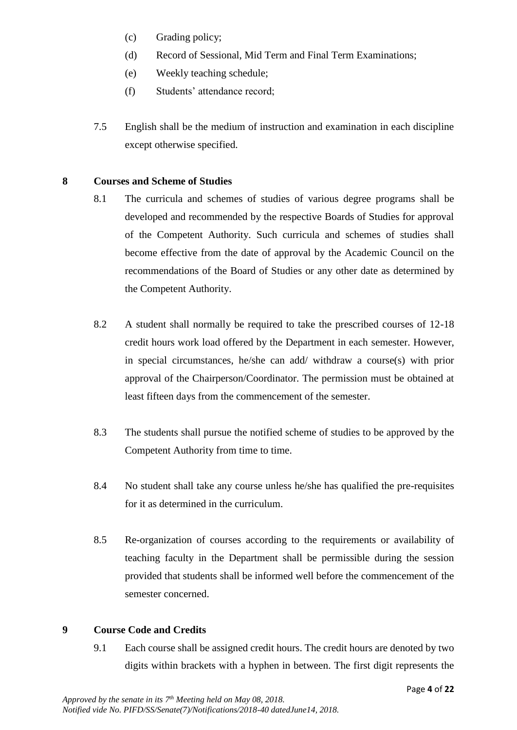- (c) Grading policy;
- (d) Record of Sessional, Mid Term and Final Term Examinations;
- (e) Weekly teaching schedule;
- (f) Students' attendance record;
- 7.5 English shall be the medium of instruction and examination in each discipline except otherwise specified.

#### **8 Courses and Scheme of Studies**

- 8.1 The curricula and schemes of studies of various degree programs shall be developed and recommended by the respective Boards of Studies for approval of the Competent Authority. Such curricula and schemes of studies shall become effective from the date of approval by the Academic Council on the recommendations of the Board of Studies or any other date as determined by the Competent Authority.
- 8.2 A student shall normally be required to take the prescribed courses of 12-18 credit hours work load offered by the Department in each semester. However, in special circumstances, he/she can add/ withdraw a course(s) with prior approval of the Chairperson/Coordinator. The permission must be obtained at least fifteen days from the commencement of the semester.
- 8.3 The students shall pursue the notified scheme of studies to be approved by the Competent Authority from time to time.
- 8.4 No student shall take any course unless he/she has qualified the pre-requisites for it as determined in the curriculum.
- 8.5 Re-organization of courses according to the requirements or availability of teaching faculty in the Department shall be permissible during the session provided that students shall be informed well before the commencement of the semester concerned.

## **9 Course Code and Credits**

9.1 Each course shall be assigned credit hours. The credit hours are denoted by two digits within brackets with a hyphen in between. The first digit represents the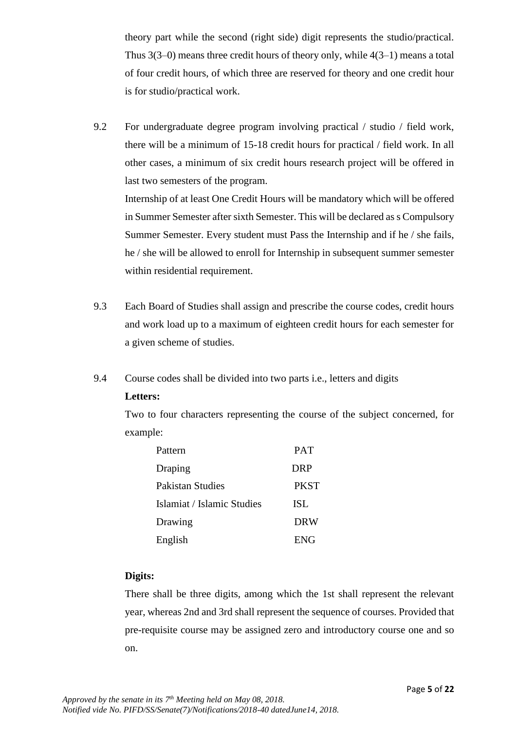theory part while the second (right side) digit represents the studio/practical. Thus 3(3–0) means three credit hours of theory only, while 4(3–1) means a total of four credit hours, of which three are reserved for theory and one credit hour is for studio/practical work.

9.2 For undergraduate degree program involving practical / studio / field work, there will be a minimum of 15-18 credit hours for practical / field work. In all other cases, a minimum of six credit hours research project will be offered in last two semesters of the program. Internship of at least One Credit Hours will be mandatory which will be offered in Summer Semester after sixth Semester. This will be declared as s Compulsory

Summer Semester. Every student must Pass the Internship and if he / she fails, he / she will be allowed to enroll for Internship in subsequent summer semester within residential requirement.

- 9.3 Each Board of Studies shall assign and prescribe the course codes, credit hours and work load up to a maximum of eighteen credit hours for each semester for a given scheme of studies.
- 9.4 Course codes shall be divided into two parts i.e., letters and digits

## **Letters:**

Two to four characters representing the course of the subject concerned, for example:

| Pattern                    | <b>PAT</b>  |
|----------------------------|-------------|
| Draping                    | <b>DRP</b>  |
| Pakistan Studies           | <b>PKST</b> |
| Islamiat / Islamic Studies | ISL         |
| Drawing                    | <b>DRW</b>  |
| English                    | <b>ENG</b>  |

## **Digits:**

There shall be three digits, among which the 1st shall represent the relevant year, whereas 2nd and 3rd shall represent the sequence of courses. Provided that pre-requisite course may be assigned zero and introductory course one and so on.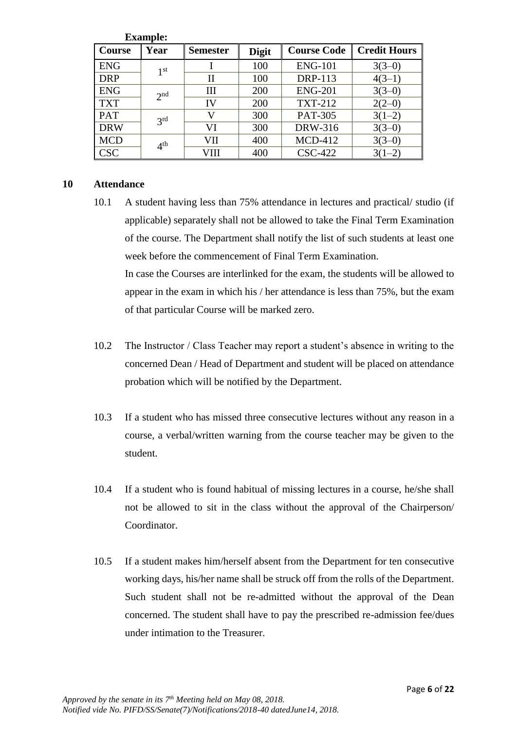|               | <b>Example:</b> |                 |              |                    |                     |
|---------------|-----------------|-----------------|--------------|--------------------|---------------------|
| <b>Course</b> | Year            | <b>Semester</b> | <b>Digit</b> | <b>Course Code</b> | <b>Credit Hours</b> |
| <b>ENG</b>    | 1 <sup>st</sup> |                 | 100          | <b>ENG-101</b>     | $3(3-0)$            |
| <b>DRP</b>    |                 | П               | 100          | <b>DRP-113</b>     | $4(3-1)$            |
| <b>ENG</b>    | 2 <sub>nd</sub> | Ш               | 200          | <b>ENG-201</b>     | $3(3-0)$            |
| <b>TXT</b>    |                 | IV              | 200          | <b>TXT-212</b>     | $2(2-0)$            |
| <b>PAT</b>    | 3 <sup>rd</sup> |                 | 300          | <b>PAT-305</b>     | $3(1-2)$            |
| <b>DRW</b>    |                 | VI              | 300          | DRW-316            | $3(3-0)$            |
| <b>MCD</b>    | 4 <sup>th</sup> | VII             | 400          | <b>MCD-412</b>     | $3(3-0)$            |
| <b>CSC</b>    |                 | VIII            | 400          | <b>CSC-422</b>     |                     |

#### **10 Attendance**

10.1 A student having less than 75% attendance in lectures and practical/ studio (if applicable) separately shall not be allowed to take the Final Term Examination of the course. The Department shall notify the list of such students at least one week before the commencement of Final Term Examination.

In case the Courses are interlinked for the exam, the students will be allowed to appear in the exam in which his / her attendance is less than 75%, but the exam of that particular Course will be marked zero.

- 10.2 The Instructor / Class Teacher may report a student's absence in writing to the concerned Dean / Head of Department and student will be placed on attendance probation which will be notified by the Department.
- 10.3 If a student who has missed three consecutive lectures without any reason in a course, a verbal/written warning from the course teacher may be given to the student.
- 10.4 If a student who is found habitual of missing lectures in a course, he/she shall not be allowed to sit in the class without the approval of the Chairperson/ Coordinator.
- 10.5 If a student makes him/herself absent from the Department for ten consecutive working days, his/her name shall be struck off from the rolls of the Department. Such student shall not be re-admitted without the approval of the Dean concerned. The student shall have to pay the prescribed re-admission fee/dues under intimation to the Treasurer.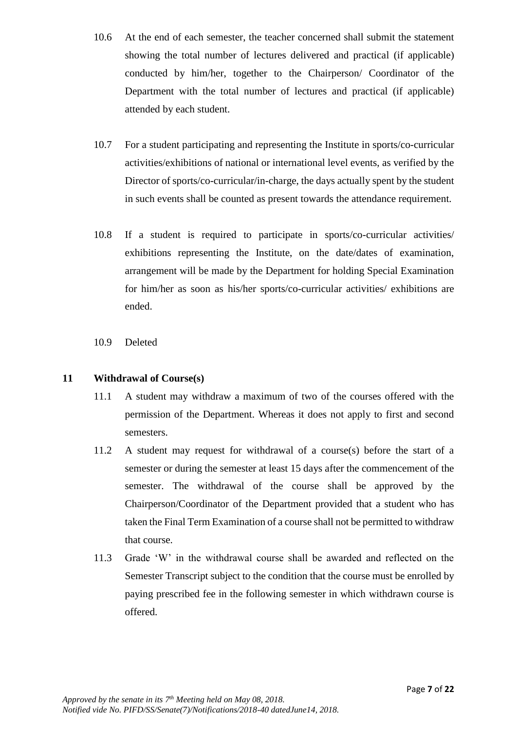- 10.6 At the end of each semester, the teacher concerned shall submit the statement showing the total number of lectures delivered and practical (if applicable) conducted by him/her, together to the Chairperson/ Coordinator of the Department with the total number of lectures and practical (if applicable) attended by each student.
- 10.7 For a student participating and representing the Institute in sports/co-curricular activities/exhibitions of national or international level events, as verified by the Director of sports/co-curricular/in-charge, the days actually spent by the student in such events shall be counted as present towards the attendance requirement.
- 10.8 If a student is required to participate in sports/co-curricular activities/ exhibitions representing the Institute, on the date/dates of examination, arrangement will be made by the Department for holding Special Examination for him/her as soon as his/her sports/co-curricular activities/ exhibitions are ended.
- 10.9 Deleted

## **11 Withdrawal of Course(s)**

- 11.1 A student may withdraw a maximum of two of the courses offered with the permission of the Department. Whereas it does not apply to first and second semesters.
- 11.2 A student may request for withdrawal of a course(s) before the start of a semester or during the semester at least 15 days after the commencement of the semester. The withdrawal of the course shall be approved by the Chairperson/Coordinator of the Department provided that a student who has taken the Final Term Examination of a course shall not be permitted to withdraw that course.
- 11.3 Grade 'W' in the withdrawal course shall be awarded and reflected on the Semester Transcript subject to the condition that the course must be enrolled by paying prescribed fee in the following semester in which withdrawn course is offered.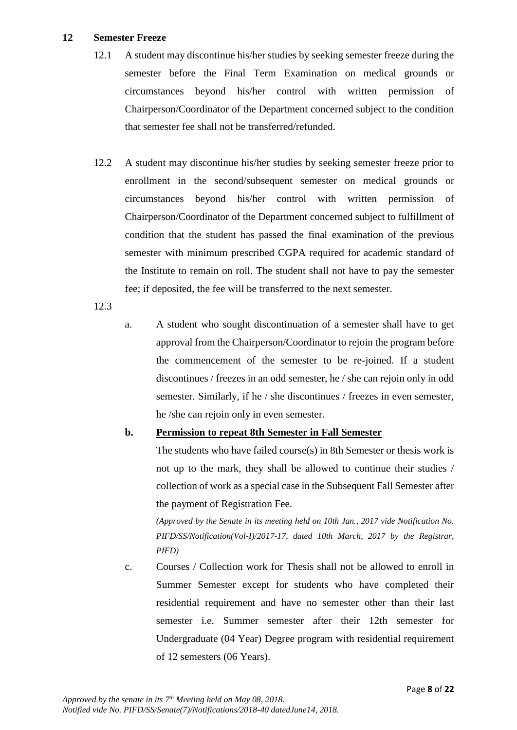### **12 Semester Freeze**

- 12.1 A student may discontinue his/her studies by seeking semester freeze during the semester before the Final Term Examination on medical grounds or circumstances beyond his/her control with written permission of Chairperson/Coordinator of the Department concerned subject to the condition that semester fee shall not be transferred/refunded.
- 12.2 A student may discontinue his/her studies by seeking semester freeze prior to enrollment in the second/subsequent semester on medical grounds or circumstances beyond his/her control with written permission of Chairperson/Coordinator of the Department concerned subject to fulfillment of condition that the student has passed the final examination of the previous semester with minimum prescribed CGPA required for academic standard of the Institute to remain on roll. The student shall not have to pay the semester fee; if deposited, the fee will be transferred to the next semester.
- 12.3
- a. A student who sought discontinuation of a semester shall have to get approval from the Chairperson/Coordinator to rejoin the program before the commencement of the semester to be re-joined. If a student discontinues / freezes in an odd semester, he / she can rejoin only in odd semester. Similarly, if he / she discontinues / freezes in even semester, he /she can rejoin only in even semester.

## **b. Permission to repeat 8th Semester in Fall Semester**

The students who have failed course(s) in 8th Semester or thesis work is not up to the mark, they shall be allowed to continue their studies / collection of work as a special case in the Subsequent Fall Semester after the payment of Registration Fee.

*(Approved by the Senate in its meeting held on 10th Jan., 2017 vide Notification No. PIFD/SS/Notification(Vol-I)/2017-17, dated 10th March, 2017 by the Registrar, PIFD)*

c. Courses / Collection work for Thesis shall not be allowed to enroll in Summer Semester except for students who have completed their residential requirement and have no semester other than their last semester i.e. Summer semester after their 12th semester for Undergraduate (04 Year) Degree program with residential requirement of 12 semesters (06 Years).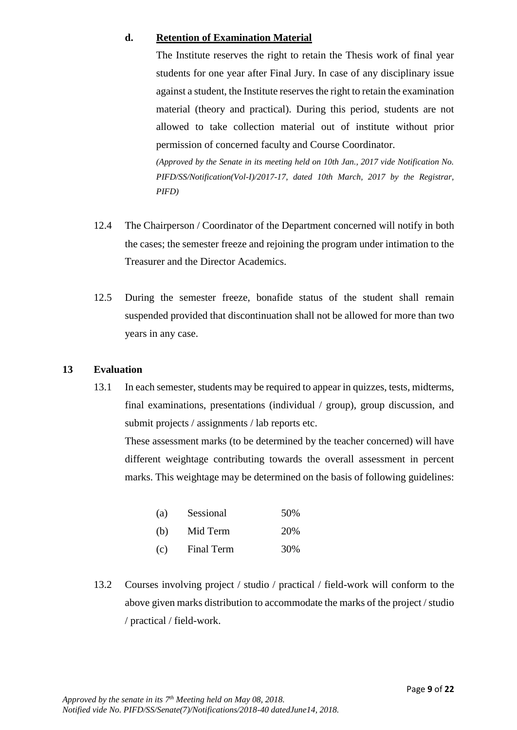#### **d. Retention of Examination Material**

The Institute reserves the right to retain the Thesis work of final year students for one year after Final Jury. In case of any disciplinary issue against a student, the Institute reserves the right to retain the examination material (theory and practical). During this period, students are not allowed to take collection material out of institute without prior permission of concerned faculty and Course Coordinator.

*(Approved by the Senate in its meeting held on 10th Jan., 2017 vide Notification No. PIFD/SS/Notification(Vol-I)/2017-17, dated 10th March, 2017 by the Registrar, PIFD)*

- 12.4 The Chairperson / Coordinator of the Department concerned will notify in both the cases; the semester freeze and rejoining the program under intimation to the Treasurer and the Director Academics.
- 12.5 During the semester freeze, bonafide status of the student shall remain suspended provided that discontinuation shall not be allowed for more than two years in any case.

## **13 Evaluation**

13.1 In each semester, students may be required to appear in quizzes, tests, midterms, final examinations, presentations (individual / group), group discussion, and submit projects / assignments / lab reports etc.

These assessment marks (to be determined by the teacher concerned) will have different weightage contributing towards the overall assessment in percent marks. This weightage may be determined on the basis of following guidelines:

| (a) | Sessional  | 50% |
|-----|------------|-----|
| (b) | Mid Term   | 20% |
| (c) | Final Term | 30% |

13.2 Courses involving project / studio / practical / field-work will conform to the above given marks distribution to accommodate the marks of the project / studio / practical / field-work.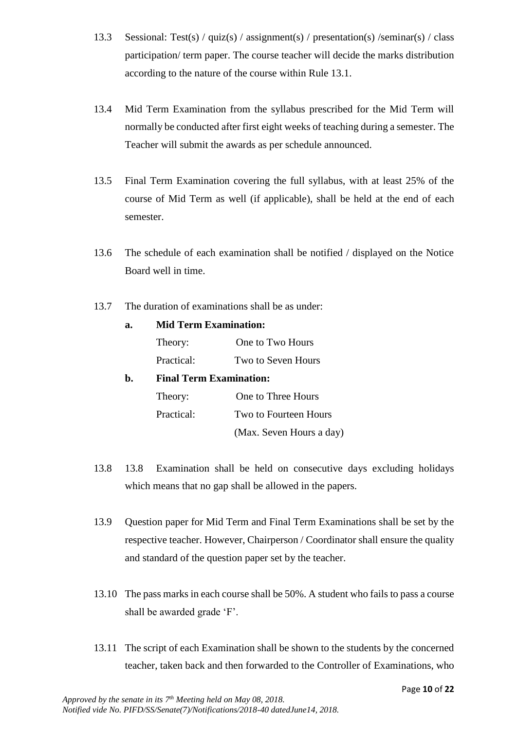- 13.3 Sessional: Test(s) / quiz(s) / assignment(s) / presentation(s) / seminar(s) / class participation/ term paper. The course teacher will decide the marks distribution according to the nature of the course within Rule 13.1.
- 13.4 Mid Term Examination from the syllabus prescribed for the Mid Term will normally be conducted after first eight weeks of teaching during a semester. The Teacher will submit the awards as per schedule announced.
- 13.5 Final Term Examination covering the full syllabus, with at least 25% of the course of Mid Term as well (if applicable), shall be held at the end of each semester.
- 13.6 The schedule of each examination shall be notified / displayed on the Notice Board well in time.
- 13.7 The duration of examinations shall be as under:

| a. | <b>Mid Term Examination:</b>   |                          |  |  |  |
|----|--------------------------------|--------------------------|--|--|--|
|    | Theory:                        | One to Two Hours         |  |  |  |
|    | Two to Seven Hours             |                          |  |  |  |
| b. | <b>Final Term Examination:</b> |                          |  |  |  |
|    | Theory:                        | One to Three Hours       |  |  |  |
|    | Practical:                     | Two to Fourteen Hours    |  |  |  |
|    |                                | (Max. Seven Hours a day) |  |  |  |

- 13.8 13.8 Examination shall be held on consecutive days excluding holidays which means that no gap shall be allowed in the papers.
- 13.9 Question paper for Mid Term and Final Term Examinations shall be set by the respective teacher. However, Chairperson / Coordinator shall ensure the quality and standard of the question paper set by the teacher.
- 13.10 The pass marks in each course shall be 50%. A student who fails to pass a course shall be awarded grade 'F'.
- 13.11 The script of each Examination shall be shown to the students by the concerned teacher, taken back and then forwarded to the Controller of Examinations, who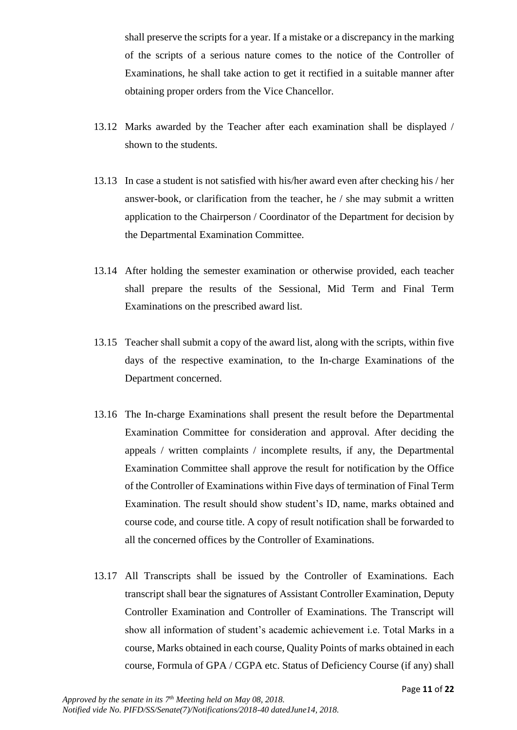shall preserve the scripts for a year. If a mistake or a discrepancy in the marking of the scripts of a serious nature comes to the notice of the Controller of Examinations, he shall take action to get it rectified in a suitable manner after obtaining proper orders from the Vice Chancellor.

- 13.12 Marks awarded by the Teacher after each examination shall be displayed / shown to the students.
- 13.13 In case a student is not satisfied with his/her award even after checking his / her answer-book, or clarification from the teacher, he / she may submit a written application to the Chairperson / Coordinator of the Department for decision by the Departmental Examination Committee.
- 13.14 After holding the semester examination or otherwise provided, each teacher shall prepare the results of the Sessional, Mid Term and Final Term Examinations on the prescribed award list.
- 13.15 Teacher shall submit a copy of the award list, along with the scripts, within five days of the respective examination, to the In-charge Examinations of the Department concerned.
- 13.16 The In-charge Examinations shall present the result before the Departmental Examination Committee for consideration and approval. After deciding the appeals / written complaints / incomplete results, if any, the Departmental Examination Committee shall approve the result for notification by the Office of the Controller of Examinations within Five days of termination of Final Term Examination. The result should show student's ID, name, marks obtained and course code, and course title. A copy of result notification shall be forwarded to all the concerned offices by the Controller of Examinations.
- 13.17 All Transcripts shall be issued by the Controller of Examinations. Each transcript shall bear the signatures of Assistant Controller Examination, Deputy Controller Examination and Controller of Examinations. The Transcript will show all information of student's academic achievement i.e. Total Marks in a course, Marks obtained in each course, Quality Points of marks obtained in each course, Formula of GPA / CGPA etc. Status of Deficiency Course (if any) shall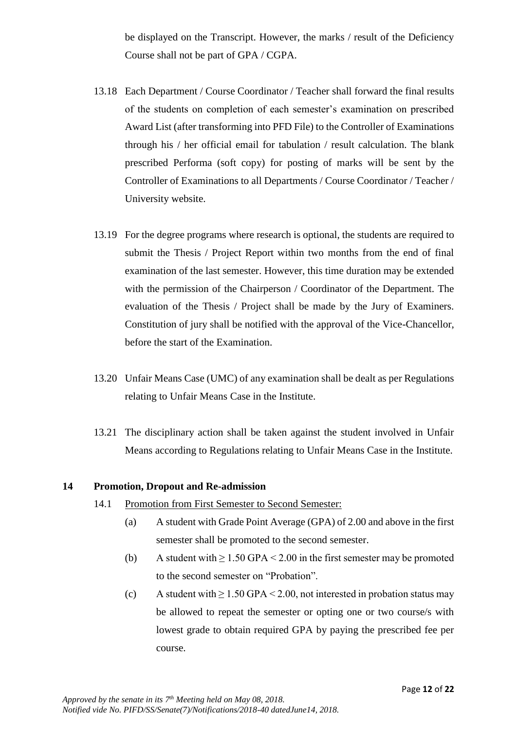be displayed on the Transcript. However, the marks / result of the Deficiency Course shall not be part of GPA / CGPA.

- 13.18 Each Department / Course Coordinator / Teacher shall forward the final results of the students on completion of each semester's examination on prescribed Award List (after transforming into PFD File) to the Controller of Examinations through his / her official email for tabulation / result calculation. The blank prescribed Performa (soft copy) for posting of marks will be sent by the Controller of Examinations to all Departments / Course Coordinator / Teacher / University website.
- 13.19 For the degree programs where research is optional, the students are required to submit the Thesis / Project Report within two months from the end of final examination of the last semester. However, this time duration may be extended with the permission of the Chairperson / Coordinator of the Department. The evaluation of the Thesis / Project shall be made by the Jury of Examiners. Constitution of jury shall be notified with the approval of the Vice-Chancellor, before the start of the Examination.
- 13.20 Unfair Means Case (UMC) of any examination shall be dealt as per Regulations relating to Unfair Means Case in the Institute.
- 13.21 The disciplinary action shall be taken against the student involved in Unfair Means according to Regulations relating to Unfair Means Case in the Institute.

#### **14 Promotion, Dropout and Re-admission**

- 14.1 Promotion from First Semester to Second Semester:
	- (a) A student with Grade Point Average (GPA) of 2.00 and above in the first semester shall be promoted to the second semester.
	- (b) A student with  $\geq 1.50$  GPA < 2.00 in the first semester may be promoted to the second semester on "Probation".
	- (c) A student with  $\geq 1.50$  GPA < 2.00, not interested in probation status may be allowed to repeat the semester or opting one or two course/s with lowest grade to obtain required GPA by paying the prescribed fee per course.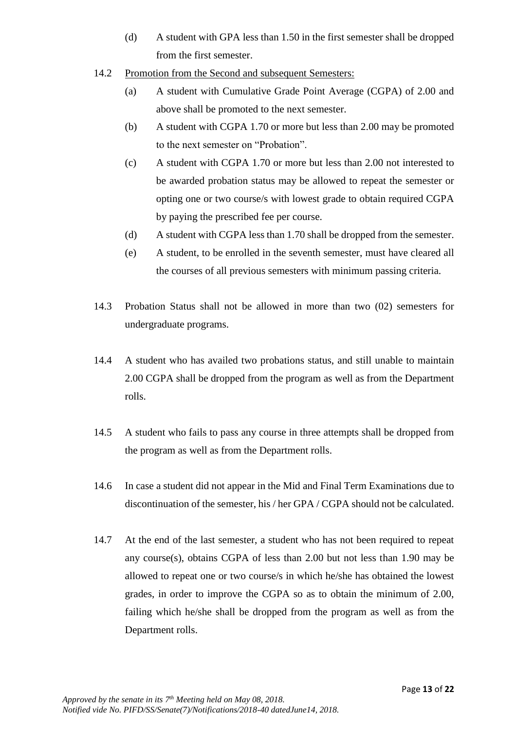- (d) A student with GPA less than 1.50 in the first semester shall be dropped from the first semester.
- 14.2 Promotion from the Second and subsequent Semesters:
	- (a) A student with Cumulative Grade Point Average (CGPA) of 2.00 and above shall be promoted to the next semester.
	- (b) A student with CGPA 1.70 or more but less than 2.00 may be promoted to the next semester on "Probation".
	- (c) A student with CGPA 1.70 or more but less than 2.00 not interested to be awarded probation status may be allowed to repeat the semester or opting one or two course/s with lowest grade to obtain required CGPA by paying the prescribed fee per course.
	- (d) A student with CGPA less than 1.70 shall be dropped from the semester.
	- (e) A student, to be enrolled in the seventh semester, must have cleared all the courses of all previous semesters with minimum passing criteria.
- 14.3 Probation Status shall not be allowed in more than two (02) semesters for undergraduate programs.
- 14.4 A student who has availed two probations status, and still unable to maintain 2.00 CGPA shall be dropped from the program as well as from the Department rolls.
- 14.5 A student who fails to pass any course in three attempts shall be dropped from the program as well as from the Department rolls.
- 14.6 In case a student did not appear in the Mid and Final Term Examinations due to discontinuation of the semester, his / her GPA / CGPA should not be calculated.
- 14.7 At the end of the last semester, a student who has not been required to repeat any course(s), obtains CGPA of less than 2.00 but not less than 1.90 may be allowed to repeat one or two course/s in which he/she has obtained the lowest grades, in order to improve the CGPA so as to obtain the minimum of 2.00, failing which he/she shall be dropped from the program as well as from the Department rolls.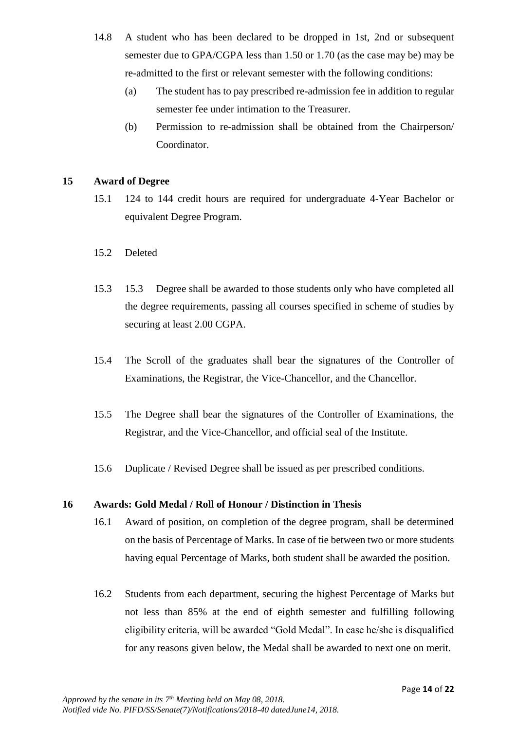- 14.8 A student who has been declared to be dropped in 1st, 2nd or subsequent semester due to GPA/CGPA less than 1.50 or 1.70 (as the case may be) may be re-admitted to the first or relevant semester with the following conditions:
	- (a) The student has to pay prescribed re-admission fee in addition to regular semester fee under intimation to the Treasurer.
	- (b) Permission to re-admission shall be obtained from the Chairperson/ Coordinator.

#### **15 Award of Degree**

- 15.1 124 to 144 credit hours are required for undergraduate 4-Year Bachelor or equivalent Degree Program.
- 15.2 Deleted
- 15.3 15.3 Degree shall be awarded to those students only who have completed all the degree requirements, passing all courses specified in scheme of studies by securing at least 2.00 CGPA.
- 15.4 The Scroll of the graduates shall bear the signatures of the Controller of Examinations, the Registrar, the Vice-Chancellor, and the Chancellor.
- 15.5 The Degree shall bear the signatures of the Controller of Examinations, the Registrar, and the Vice-Chancellor, and official seal of the Institute.
- 15.6 Duplicate / Revised Degree shall be issued as per prescribed conditions.

#### **16 Awards: Gold Medal / Roll of Honour / Distinction in Thesis**

- 16.1 Award of position, on completion of the degree program, shall be determined on the basis of Percentage of Marks. In case of tie between two or more students having equal Percentage of Marks, both student shall be awarded the position.
- 16.2 Students from each department, securing the highest Percentage of Marks but not less than 85% at the end of eighth semester and fulfilling following eligibility criteria, will be awarded "Gold Medal". In case he/she is disqualified for any reasons given below, the Medal shall be awarded to next one on merit.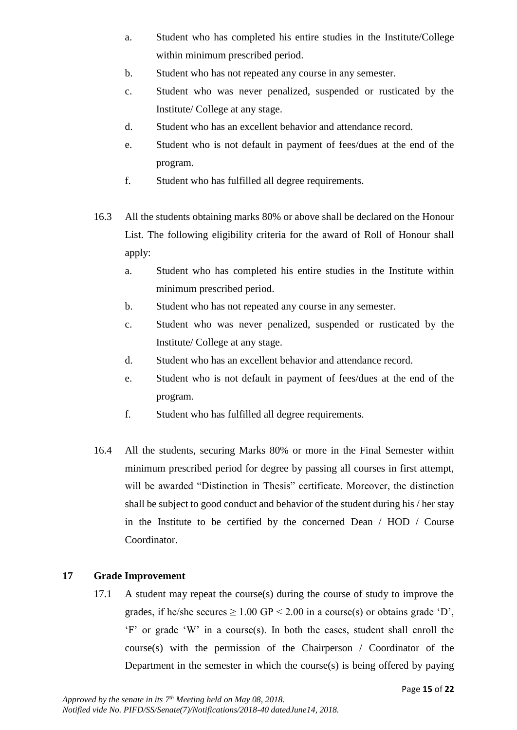- a. Student who has completed his entire studies in the Institute/College within minimum prescribed period.
- b. Student who has not repeated any course in any semester.
- c. Student who was never penalized, suspended or rusticated by the Institute/ College at any stage.
- d. Student who has an excellent behavior and attendance record.
- e. Student who is not default in payment of fees/dues at the end of the program.
- f. Student who has fulfilled all degree requirements.
- 16.3 All the students obtaining marks 80% or above shall be declared on the Honour List. The following eligibility criteria for the award of Roll of Honour shall apply:
	- a. Student who has completed his entire studies in the Institute within minimum prescribed period.
	- b. Student who has not repeated any course in any semester.
	- c. Student who was never penalized, suspended or rusticated by the Institute/ College at any stage.
	- d. Student who has an excellent behavior and attendance record.
	- e. Student who is not default in payment of fees/dues at the end of the program.
	- f. Student who has fulfilled all degree requirements.
- 16.4 All the students, securing Marks 80% or more in the Final Semester within minimum prescribed period for degree by passing all courses in first attempt, will be awarded "Distinction in Thesis" certificate. Moreover, the distinction shall be subject to good conduct and behavior of the student during his / her stay in the Institute to be certified by the concerned Dean / HOD / Course Coordinator.

## **17 Grade Improvement**

17.1 A student may repeat the course(s) during the course of study to improve the grades, if he/she secures  $\geq 1.00$  GP < 2.00 in a course(s) or obtains grade 'D', 'F' or grade 'W' in a course(s). In both the cases, student shall enroll the course(s) with the permission of the Chairperson / Coordinator of the Department in the semester in which the course(s) is being offered by paying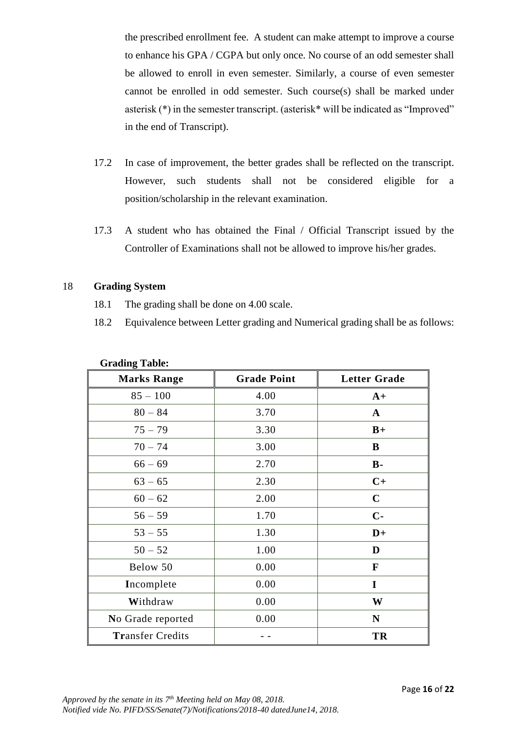the prescribed enrollment fee. A student can make attempt to improve a course to enhance his GPA / CGPA but only once. No course of an odd semester shall be allowed to enroll in even semester. Similarly, a course of even semester cannot be enrolled in odd semester. Such course(s) shall be marked under asterisk (\*) in the semester transcript. (asterisk\* will be indicated as "Improved" in the end of Transcript).

- 17.2 In case of improvement, the better grades shall be reflected on the transcript. However, such students shall not be considered eligible for a position/scholarship in the relevant examination.
- 17.3 A student who has obtained the Final / Official Transcript issued by the Controller of Examinations shall not be allowed to improve his/her grades.

#### 18 **Grading System**

- 18.1 The grading shall be done on 4.00 scale.
- 18.2 Equivalence between Letter grading and Numerical grading shall be as follows:

| <b>Marks Range</b>      | <b>Grade Point</b> | <b>Letter Grade</b> |
|-------------------------|--------------------|---------------------|
| $85 - 100$              | 4.00               | $A+$                |
| $80 - 84$               | 3.70               | $\mathbf{A}$        |
| $75 - 79$               | 3.30               | $B+$                |
| $70 - 74$               | 3.00               | B                   |
| $66 - 69$               | 2.70               | $B -$               |
| $63 - 65$               | 2.30               | $C+$                |
| $60 - 62$               | 2.00               | $\mathbf C$         |
| $56 - 59$               | 1.70               | $C -$               |
| $53 - 55$               | 1.30               | $D+$                |
| $50 - 52$               | 1.00               | D                   |
| Below 50                | 0.00               | F                   |
| Incomplete              | 0.00               | I                   |
| Withdraw                | 0.00               | W                   |
| No Grade reported       | 0.00               | $\mathbf N$         |
| <b>Transfer Credits</b> |                    | TR                  |

## **Grading Table:**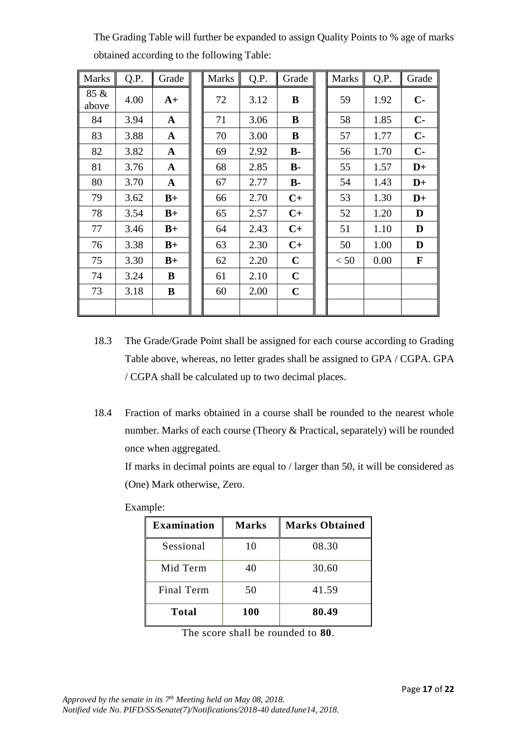| <b>Marks</b>  | Q.P. | Grade        | <b>Marks</b> | Q.P. | Grade          | <b>Marks</b> | Q.P. | Grade |
|---------------|------|--------------|--------------|------|----------------|--------------|------|-------|
| 85 &<br>above | 4.00 | $A+$         | 72           | 3.12 | B              | 59           | 1.92 | $C-$  |
| 84            | 3.94 | $\mathbf A$  | 71           | 3.06 | B              | 58           | 1.85 | $C-$  |
| 83            | 3.88 | $\mathbf{A}$ | 70           | 3.00 | B              | 57           | 1.77 | $C -$ |
| 82            | 3.82 | $\mathbf{A}$ | 69           | 2.92 | $B -$          | 56           | 1.70 | $C -$ |
| 81            | 3.76 | $\mathbf{A}$ | 68           | 2.85 | $B -$          | 55           | 1.57 | $D+$  |
| 80            | 3.70 | $\mathbf{A}$ | 67           | 2.77 | $\mathbf{B}$ - | 54           | 1.43 | $D+$  |
| 79            | 3.62 | $B+$         | 66           | 2.70 | $C+$           | 53           | 1.30 | $D+$  |
| 78            | 3.54 | $B+$         | 65           | 2.57 | $C+$           | 52           | 1.20 | D     |
| 77            | 3.46 | $B+$         | 64           | 2.43 | $C+$           | 51           | 1.10 | D     |
| 76            | 3.38 | $B+$         | 63           | 2.30 | $C+$           | 50           | 1.00 | D     |
| 75            | 3.30 | $B+$         | 62           | 2.20 | $\mathbf C$    | < 50         | 0.00 | F     |
| 74            | 3.24 | B            | 61           | 2.10 | $\mathbf C$    |              |      |       |
| 73            | 3.18 | B            | 60           | 2.00 | $\mathbf C$    |              |      |       |
|               |      |              |              |      |                |              |      |       |

The Grading Table will further be expanded to assign Quality Points to % age of marks obtained according to the following Table:

- 18.3 The Grade/Grade Point shall be assigned for each course according to Grading Table above, whereas, no letter grades shall be assigned to GPA / CGPA. GPA / CGPA shall be calculated up to two decimal places.
- 18.4 Fraction of marks obtained in a course shall be rounded to the nearest whole number. Marks of each course (Theory & Practical, separately) will be rounded once when aggregated.

If marks in decimal points are equal to / larger than 50, it will be considered as (One) Mark otherwise, Zero.

| <b>Examination</b> | <b>Marks</b> | <b>Marks Obtained</b> |
|--------------------|--------------|-----------------------|
| Sessional          | 10           | 08.30                 |
| Mid Term           | 40           | 30.60                 |
| Final Term         | 50           | 41.59                 |
| <b>Total</b>       | <b>100</b>   | 80.49                 |

Example:

The score shall be rounded to **80**.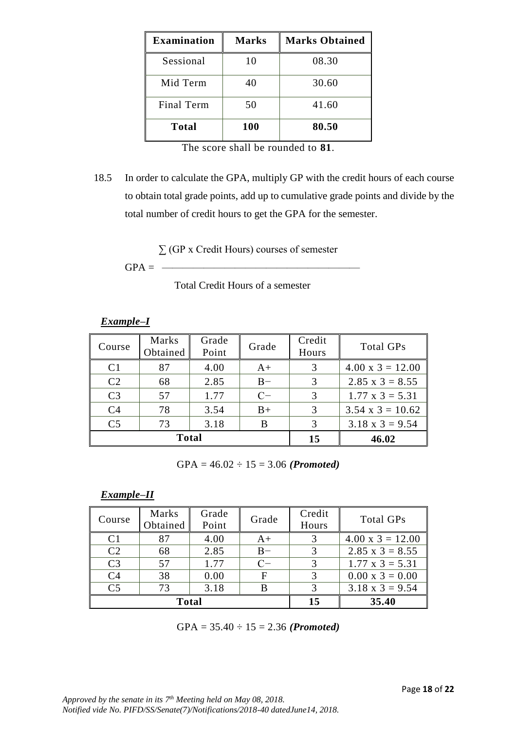| <b>Examination</b> | <b>Marks</b> | <b>Marks Obtained</b> |
|--------------------|--------------|-----------------------|
| Sessional          | 10           | 08.30                 |
| Mid Term           | 40           | 30.60                 |
| Final Term         | 50           | 41.60                 |
| <b>Total</b>       | 100          | 80.50                 |

The score shall be rounded to **81**.

18.5 In order to calculate the GPA, multiply GP with the credit hours of each course to obtain total grade points, add up to cumulative grade points and divide by the total number of credit hours to get the GPA for the semester.

∑ (GP x Credit Hours) courses of semester

 $GPA = -$ 

Total Credit Hours of a semester

*Example–I*

| Course         | Marks<br>Obtained | Grade<br>Point | Grade | Credit<br>Hours | Total GPs               |
|----------------|-------------------|----------------|-------|-----------------|-------------------------|
| C <sub>1</sub> | 87                | 4.00           | $A+$  |                 | $4.00 \times 3 = 12.00$ |
| C <sub>2</sub> | 68                | 2.85           | $B -$ | 3               | $2.85 \times 3 = 8.55$  |
| C <sub>3</sub> | 57                | 1.77           | $C-$  | 3               | $1.77 \times 3 = 5.31$  |
| C <sub>4</sub> | 78                | 3.54           | $B+$  | 3               | $3.54 \times 3 = 10.62$ |
| C <sub>5</sub> | 73                | 3.18           | B     |                 | $3.18 \times 3 = 9.54$  |
|                | <b>Total</b>      |                | 15    | 46.02           |                         |

GPA = 46.02 ÷ 15 = 3.06 *(Promoted)*

*Example–II*

| Course         | Marks<br>Obtained | Grade<br>Point | Grade | Credit<br>Hours | Total GPs               |
|----------------|-------------------|----------------|-------|-----------------|-------------------------|
| C <sub>1</sub> | 87                | 4.00           | A+    |                 | $4.00 \times 3 = 12.00$ |
| C <sub>2</sub> | 68                | 2.85           | $B -$ | 3               | $2.85 \times 3 = 8.55$  |
| C <sub>3</sub> | 57                | 1.77           | $C-$  | 3               | $1.77 \times 3 = 5.31$  |
| C <sub>4</sub> | 38                | 0.00           | F     |                 | $0.00 \times 3 = 0.00$  |
| C <sub>5</sub> | 73                | 3.18           | В     | 3               | $3.18 \times 3 = 9.54$  |
|                | <b>Total</b>      |                | 15    | 35.40           |                         |

GPA = 35.40 ÷ 15 = 2.36 *(Promoted)*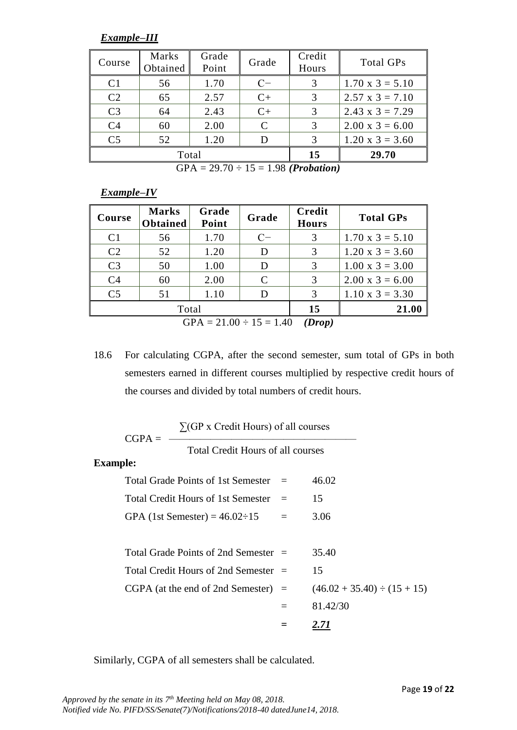*Example–III*

| Course         | Marks<br>Obtained | Grade<br>Point | Grade        | Credit<br>Hours | Total GPs              |
|----------------|-------------------|----------------|--------------|-----------------|------------------------|
| C <sub>1</sub> | 56                | 1.70           | $C-$         | 3               | $1.70 \times 3 = 5.10$ |
| C <sub>2</sub> | 65                | 2.57           | $C+$         | 3               | $2.57 \times 3 = 7.10$ |
| C <sub>3</sub> | 64                | 2.43           | $C+$         | 3               | $2.43 \times 3 = 7.29$ |
| C <sub>4</sub> | 60                | 2.00           | $\mathsf{C}$ | 3               | $2.00 \times 3 = 6.00$ |
| C <sub>5</sub> | 52                | 1.20           | D            | 3               | $1.20 \times 3 = 3.60$ |
|                | Total             | 15             | 29.70        |                 |                        |

GPA = 29.70 ÷ 15 = 1.98 *(Probation)*

*Example–IV*

| Course         | <b>Marks</b><br><b>Obtained</b>        | Grade<br>Point | Grade         | Credit<br><b>Hours</b> | <b>Total GPs</b>       |  |  |  |
|----------------|----------------------------------------|----------------|---------------|------------------------|------------------------|--|--|--|
| C <sub>1</sub> | 56                                     | 1.70           | $C-$          | 3                      | $1.70 \times 3 = 5.10$ |  |  |  |
| C <sub>2</sub> | 52                                     | 1.20           | D             | 3                      | $1.20 \times 3 = 3.60$ |  |  |  |
| C <sub>3</sub> | 50                                     | 1.00           | D             | 3                      | $1.00 \times 3 = 3.00$ |  |  |  |
| C <sub>4</sub> | 60                                     | 2.00           | $\mathcal{C}$ | $\mathcal{R}$          | $2.00 \times 3 = 6.00$ |  |  |  |
| C <sub>5</sub> | 51                                     | 1.10           | D             | $\mathcal{R}$          | $1.10 \times 3 = 3.30$ |  |  |  |
|                | Total                                  | 15             | 21.00         |                        |                        |  |  |  |
|                | $GPA = 21.00 \div 15 = 1.40$<br>(Drop) |                |               |                        |                        |  |  |  |

18.6 For calculating CGPA, after the second semester, sum total of GPs in both semesters earned in different courses multiplied by respective credit hours of the courses and divided by total numbers of credit hours.

| $CGPA =$                               | $\sum$ (GP x Credit Hours) of all courses |     |                                  |
|----------------------------------------|-------------------------------------------|-----|----------------------------------|
|                                        | <b>Total Credit Hours of all courses</b>  |     |                                  |
| <b>Example:</b>                        |                                           |     |                                  |
|                                        | Total Grade Points of 1st Semester $=$    |     | 46.02                            |
| Total Credit Hours of 1st Semester $=$ |                                           |     | 15                               |
| GPA (1st Semester) = $46.02 \div 15$   |                                           | $=$ | 3.06                             |
|                                        |                                           |     |                                  |
|                                        | Total Grade Points of 2nd Semester $=$    |     | 35.40                            |
|                                        | Total Credit Hours of 2nd Semester $=$    |     | 15                               |
|                                        | $CGPA$ (at the end of 2nd Semester) $=$   |     | $(46.02 + 35.40) \div (15 + 15)$ |
|                                        |                                           | $=$ | 81.42/30                         |
|                                        |                                           |     | 2.71                             |

Similarly, CGPA of all semesters shall be calculated.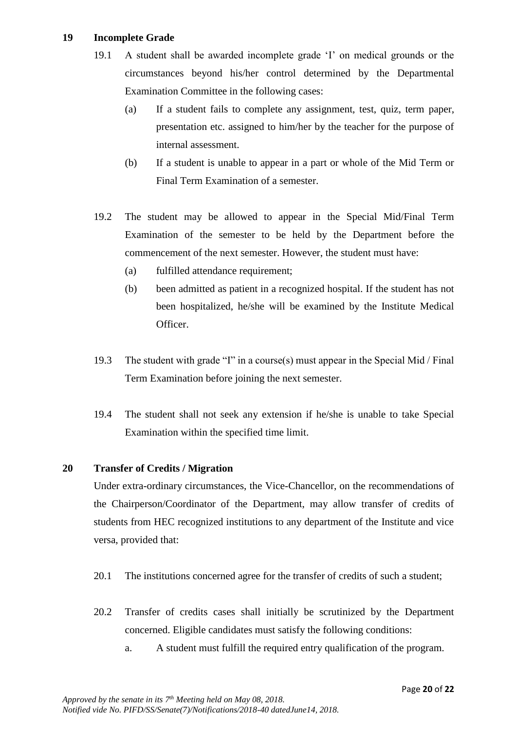## **19 Incomplete Grade**

- 19.1 A student shall be awarded incomplete grade 'I' on medical grounds or the circumstances beyond his/her control determined by the Departmental Examination Committee in the following cases:
	- (a) If a student fails to complete any assignment, test, quiz, term paper, presentation etc. assigned to him/her by the teacher for the purpose of internal assessment.
	- (b) If a student is unable to appear in a part or whole of the Mid Term or Final Term Examination of a semester.
- 19.2 The student may be allowed to appear in the Special Mid/Final Term Examination of the semester to be held by the Department before the commencement of the next semester. However, the student must have:
	- (a) fulfilled attendance requirement;
	- (b) been admitted as patient in a recognized hospital. If the student has not been hospitalized, he/she will be examined by the Institute Medical Officer.
- 19.3 The student with grade "I" in a course(s) must appear in the Special Mid / Final Term Examination before joining the next semester.
- 19.4 The student shall not seek any extension if he/she is unable to take Special Examination within the specified time limit.

## **20 Transfer of Credits / Migration**

Under extra-ordinary circumstances, the Vice-Chancellor, on the recommendations of the Chairperson/Coordinator of the Department, may allow transfer of credits of students from HEC recognized institutions to any department of the Institute and vice versa, provided that:

- 20.1 The institutions concerned agree for the transfer of credits of such a student;
- 20.2 Transfer of credits cases shall initially be scrutinized by the Department concerned. Eligible candidates must satisfy the following conditions:
	- a. A student must fulfill the required entry qualification of the program.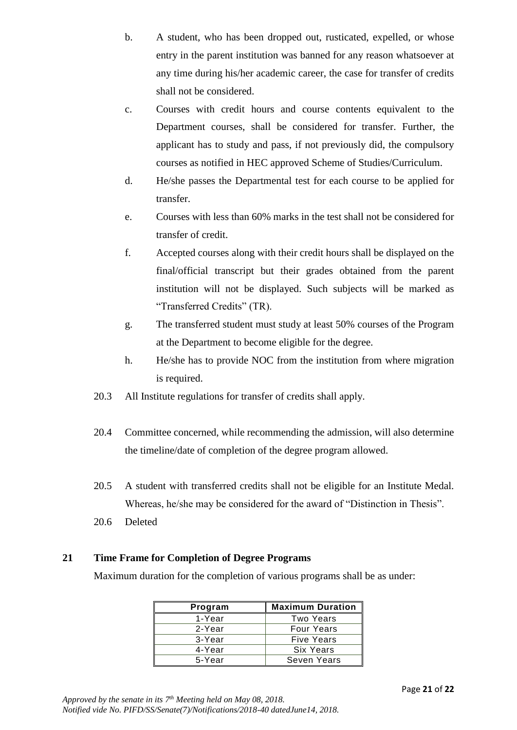- b. A student, who has been dropped out, rusticated, expelled, or whose entry in the parent institution was banned for any reason whatsoever at any time during his/her academic career, the case for transfer of credits shall not be considered.
- c. Courses with credit hours and course contents equivalent to the Department courses, shall be considered for transfer. Further, the applicant has to study and pass, if not previously did, the compulsory courses as notified in HEC approved Scheme of Studies/Curriculum.
- d. He/she passes the Departmental test for each course to be applied for transfer.
- e. Courses with less than 60% marks in the test shall not be considered for transfer of credit.
- f. Accepted courses along with their credit hours shall be displayed on the final/official transcript but their grades obtained from the parent institution will not be displayed. Such subjects will be marked as "Transferred Credits" (TR).
- g. The transferred student must study at least 50% courses of the Program at the Department to become eligible for the degree.
- h. He/she has to provide NOC from the institution from where migration is required.
- 20.3 All Institute regulations for transfer of credits shall apply.
- 20.4 Committee concerned, while recommending the admission, will also determine the timeline/date of completion of the degree program allowed.
- 20.5 A student with transferred credits shall not be eligible for an Institute Medal. Whereas, he/she may be considered for the award of "Distinction in Thesis".
- 20.6 Deleted

## **21 Time Frame for Completion of Degree Programs**

Maximum duration for the completion of various programs shall be as under:

| Program | <b>Maximum Duration</b> |  |  |
|---------|-------------------------|--|--|
| 1-Year  | Two Years               |  |  |
| 2-Year  | <b>Four Years</b>       |  |  |
| 3-Year  | <b>Five Years</b>       |  |  |
| 4-Year  | Six Years               |  |  |
| 5-Year  | Seven Years             |  |  |